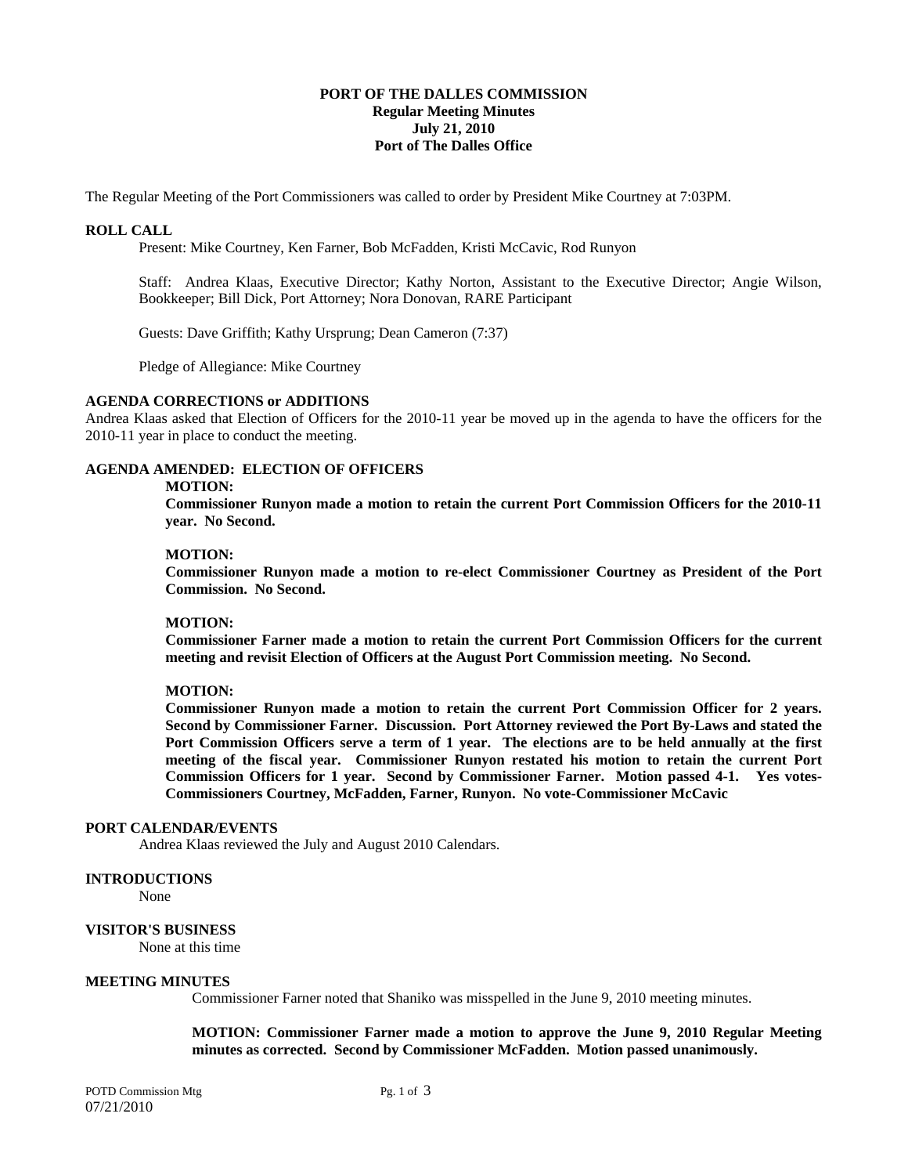### **PORT OF THE DALLES COMMISSION Regular Meeting Minutes July 21, 2010 Port of The Dalles Office**

The Regular Meeting of the Port Commissioners was called to order by President Mike Courtney at 7:03PM.

### **ROLL CALL**

Present: Mike Courtney, Ken Farner, Bob McFadden, Kristi McCavic, Rod Runyon

Staff: Andrea Klaas, Executive Director; Kathy Norton, Assistant to the Executive Director; Angie Wilson, Bookkeeper; Bill Dick, Port Attorney; Nora Donovan, RARE Participant

Guests: Dave Griffith; Kathy Ursprung; Dean Cameron (7:37)

Pledge of Allegiance: Mike Courtney

### **AGENDA CORRECTIONS or ADDITIONS**

Andrea Klaas asked that Election of Officers for the 2010-11 year be moved up in the agenda to have the officers for the 2010-11 year in place to conduct the meeting.

## **AGENDA AMENDED: ELECTION OF OFFICERS**

#### **MOTION:**

 **Commissioner Runyon made a motion to retain the current Port Commission Officers for the 2010-11 year. No Second.** 

### **MOTION:**

 **Commissioner Runyon made a motion to re-elect Commissioner Courtney as President of the Port Commission. No Second.** 

### **MOTION:**

**Commissioner Farner made a motion to retain the current Port Commission Officers for the current meeting and revisit Election of Officers at the August Port Commission meeting. No Second.** 

### **MOTION:**

**Commissioner Runyon made a motion to retain the current Port Commission Officer for 2 years. Second by Commissioner Farner. Discussion. Port Attorney reviewed the Port By-Laws and stated the Port Commission Officers serve a term of 1 year. The elections are to be held annually at the first meeting of the fiscal year. Commissioner Runyon restated his motion to retain the current Port Commission Officers for 1 year. Second by Commissioner Farner. Motion passed 4-1. Yes votes-Commissioners Courtney, McFadden, Farner, Runyon. No vote-Commissioner McCavic** 

## **PORT CALENDAR/EVENTS**

Andrea Klaas reviewed the July and August 2010 Calendars.

### **INTRODUCTIONS**

None

## **VISITOR'S BUSINESS**

None at this time

## **MEETING MINUTES**

Commissioner Farner noted that Shaniko was misspelled in the June 9, 2010 meeting minutes.

**MOTION: Commissioner Farner made a motion to approve the June 9, 2010 Regular Meeting minutes as corrected. Second by Commissioner McFadden. Motion passed unanimously.** 

POTD Commission Mtg Pg. 1 of 3 07/21/2010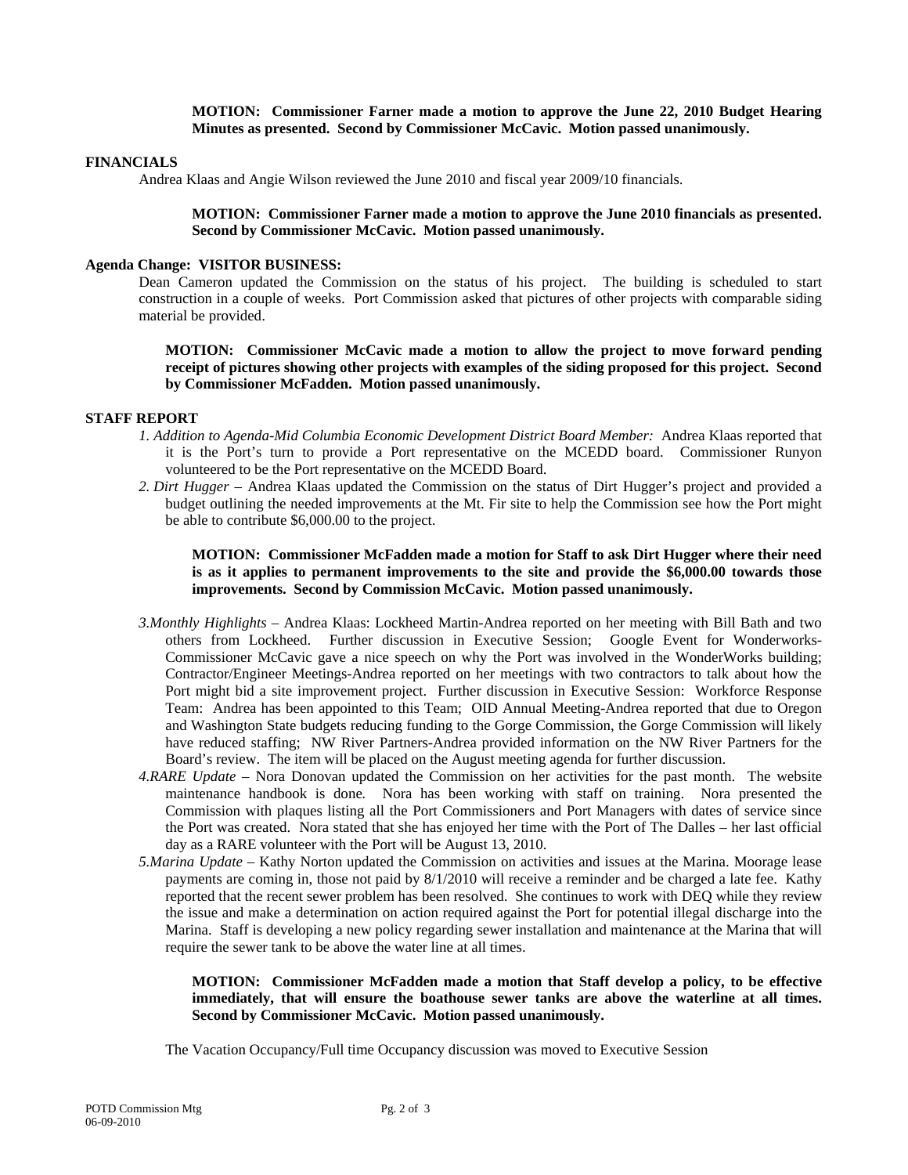**MOTION: Commissioner Farner made a motion to approve the June 22, 2010 Budget Hearing Minutes as presented. Second by Commissioner McCavic. Motion passed unanimously.** 

## **FINANCIALS**

Andrea Klaas and Angie Wilson reviewed the June 2010 and fiscal year 2009/10 financials.

**MOTION: Commissioner Farner made a motion to approve the June 2010 financials as presented. Second by Commissioner McCavic. Motion passed unanimously.** 

### **Agenda Change: VISITOR BUSINESS:**

Dean Cameron updated the Commission on the status of his project. The building is scheduled to start construction in a couple of weeks. Port Commission asked that pictures of other projects with comparable siding material be provided.

**MOTION: Commissioner McCavic made a motion to allow the project to move forward pending receipt of pictures showing other projects with examples of the siding proposed for this project. Second by Commissioner McFadden. Motion passed unanimously.** 

## **STAFF REPORT**

- *1. Addition to Agenda-Mid Columbia Economic Development District Board Member:* Andrea Klaas reported that it is the Port's turn to provide a Port representative on the MCEDD board. Commissioner Runyon volunteered to be the Port representative on the MCEDD Board.
- *2. Dirt Hugger –* Andrea Klaas updated the Commission on the status of Dirt Hugger's project and provided a budget outlining the needed improvements at the Mt. Fir site to help the Commission see how the Port might be able to contribute \$6,000.00 to the project.

**MOTION: Commissioner McFadden made a motion for Staff to ask Dirt Hugger where their need is as it applies to permanent improvements to the site and provide the \$6,000.00 towards those improvements. Second by Commission McCavic. Motion passed unanimously.** 

- *3.Monthly Highlights* Andrea Klaas: Lockheed Martin-Andrea reported on her meeting with Bill Bath and two others from Lockheed. Further discussion in Executive Session; Google Event for Wonderworks-Commissioner McCavic gave a nice speech on why the Port was involved in the WonderWorks building; Contractor/Engineer Meetings-Andrea reported on her meetings with two contractors to talk about how the Port might bid a site improvement project. Further discussion in Executive Session: Workforce Response Team: Andrea has been appointed to this Team; OID Annual Meeting-Andrea reported that due to Oregon and Washington State budgets reducing funding to the Gorge Commission, the Gorge Commission will likely have reduced staffing; NW River Partners-Andrea provided information on the NW River Partners for the Board's review. The item will be placed on the August meeting agenda for further discussion.
- *4.RARE Update* Nora Donovan updated the Commission on her activities for the past month. The website maintenance handbook is done*.* Nora has been working with staff on training. Nora presented the Commission with plaques listing all the Port Commissioners and Port Managers with dates of service since the Port was created. Nora stated that she has enjoyed her time with the Port of The Dalles – her last official day as a RARE volunteer with the Port will be August 13, 2010.
- *5.Marina Update* Kathy Norton updated the Commission on activities and issues at the Marina. Moorage lease payments are coming in, those not paid by 8/1/2010 will receive a reminder and be charged a late fee. Kathy reported that the recent sewer problem has been resolved. She continues to work with DEQ while they review the issue and make a determination on action required against the Port for potential illegal discharge into the Marina. Staff is developing a new policy regarding sewer installation and maintenance at the Marina that will require the sewer tank to be above the water line at all times.

## **MOTION: Commissioner McFadden made a motion that Staff develop a policy, to be effective immediately, that will ensure the boathouse sewer tanks are above the waterline at all times. Second by Commissioner McCavic. Motion passed unanimously.**

The Vacation Occupancy/Full time Occupancy discussion was moved to Executive Session